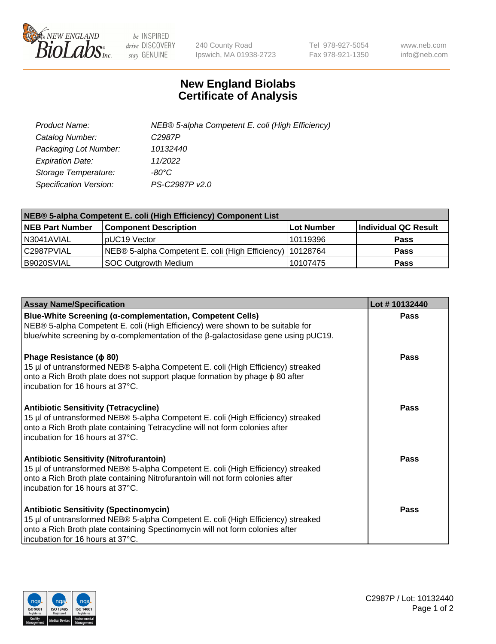

 $be$  INSPIRED drive DISCOVERY stay GENUINE

240 County Road Ipswich, MA 01938-2723 Tel 978-927-5054 Fax 978-921-1350 www.neb.com info@neb.com

## **New England Biolabs Certificate of Analysis**

| Product Name:                 | NEB® 5-alpha Competent E. coli (High Efficiency) |
|-------------------------------|--------------------------------------------------|
| Catalog Number:               | C <sub>2987</sub> P                              |
| Packaging Lot Number:         | 10132440                                         |
| <b>Expiration Date:</b>       | 11/2022                                          |
| Storage Temperature:          | -80°C                                            |
| <b>Specification Version:</b> | PS-C2987P v2.0                                   |

| NEB® 5-alpha Competent E. coli (High Efficiency) Component List |                                                             |            |                      |  |
|-----------------------------------------------------------------|-------------------------------------------------------------|------------|----------------------|--|
| <b>NEB Part Number</b>                                          | <b>Component Description</b>                                | Lot Number | Individual QC Result |  |
| N3041AVIAL                                                      | pUC19 Vector                                                | 10119396   | <b>Pass</b>          |  |
| C2987PVIAL                                                      | NEB® 5-alpha Competent E. coli (High Efficiency)   10128764 |            | <b>Pass</b>          |  |
| B9020SVIAL                                                      | SOC Outgrowth Medium                                        | 10107475   | <b>Pass</b>          |  |

| <b>Assay Name/Specification</b>                                                                                                                                                                                                                          | Lot #10132440 |
|----------------------------------------------------------------------------------------------------------------------------------------------------------------------------------------------------------------------------------------------------------|---------------|
| Blue-White Screening (α-complementation, Competent Cells)<br>NEB® 5-alpha Competent E. coli (High Efficiency) were shown to be suitable for<br>blue/white screening by $\alpha$ -complementation of the $\beta$ -galactosidase gene using pUC19.         | Pass          |
| Phage Resistance ( $\phi$ 80)<br>15 µl of untransformed NEB® 5-alpha Competent E. coli (High Efficiency) streaked<br>onto a Rich Broth plate does not support plaque formation by phage φ 80 after<br>l incubation for 16 hours at 37°C.                 | Pass          |
| <b>Antibiotic Sensitivity (Tetracycline)</b><br>15 µl of untransformed NEB® 5-alpha Competent E. coli (High Efficiency) streaked<br>onto a Rich Broth plate containing Tetracycline will not form colonies after<br>incubation for 16 hours at 37°C.     | Pass          |
| <b>Antibiotic Sensitivity (Nitrofurantoin)</b><br>15 µl of untransformed NEB® 5-alpha Competent E. coli (High Efficiency) streaked<br>onto a Rich Broth plate containing Nitrofurantoin will not form colonies after<br>incubation for 16 hours at 37°C. | Pass          |
| <b>Antibiotic Sensitivity (Spectinomycin)</b><br>15 µl of untransformed NEB® 5-alpha Competent E. coli (High Efficiency) streaked<br>onto a Rich Broth plate containing Spectinomycin will not form colonies after<br>incubation for 16 hours at 37°C.   | Pass          |